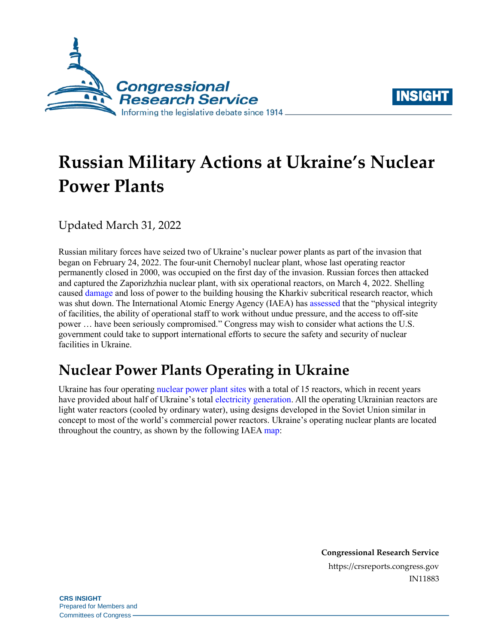



# **Russian Military Actions at Ukraine's Nuclear Power Plants**

Updated March 31, 2022

Russian military forces have seized two of Ukraine's nuclear power plants as part of the invasion that began on February 24, 2022. The four-unit Chernobyl nuclear plant, whose last operating reactor permanently closed in 2000, was occupied on the first day of the invasion. Russian forces then attacked and captured the Zaporizhzhia nuclear plant, with six operational reactors, on March 4, 2022. Shelling cause[d damage](https://snriu.gov.ua/en/news/updated-information-nuclear-subcritical-installation-neutron-source-state-27032022) and loss of power to the building housing the Kharkiv subcritical research reactor, which was shut down. The International Atomic Energy Agency (IAEA) has [assessed](https://www.iaea.org/newscenter/pressreleases/iaea-head-travels-to-ukraine-to-start-delivery-of-nuclear-safety-and-security-assistance) that the "physical integrity of facilities, the ability of operational staff to work without undue pressure, and the access to off-site power … have been seriously compromised." Congress may wish to consider what actions the U.S. government could take to support international efforts to secure the safety and security of nuclear facilities in Ukraine.

## **Nuclear Power Plants Operating in Ukraine**

Ukraine has four operating [nuclear power plant sites](https://world-nuclear.org/information-library/country-profiles/countries-t-z/ukraine.aspx) with a total of 15 reactors, which in recent years have provided about half of Ukraine's tota[l electricity generation.](https://www.eia.gov/international/data/world/electricity/electricity-generation) All the operating Ukrainian reactors are light water reactors (cooled by ordinary water), using designs developed in the Soviet Union similar in concept to most of the world's commercial power reactors. Ukraine's operating nuclear plants are located throughout the country, as shown by the following IAEA [map:](https://cnpp.iaea.org/countryprofiles/Ukraine/Ukraine.htm)

> **Congressional Research Service** https://crsreports.congress.gov IN11883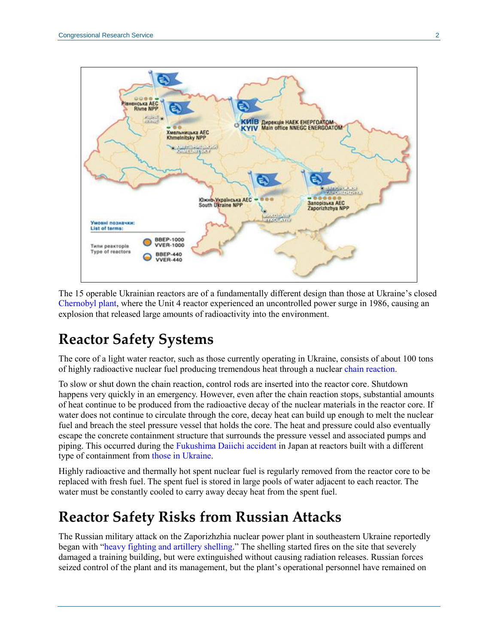

The 15 operable Ukrainian reactors are of a fundamentally different design than those at Ukraine's closed [Chernobyl plant,](https://world-nuclear.org/information-library/safety-and-security/safety-of-plants/chernobyl-accident.aspx) where the Unit 4 reactor experienced an uncontrolled power surge in 1986, causing an explosion that released large amounts of radioactivity into the environment.

### **Reactor Safety Systems**

The core of a light water reactor, such as those currently operating in Ukraine, consists of about 100 tons of highly radioactive nuclear fuel producing tremendous heat through a nuclear [chain reaction.](https://www.nrc.gov/reading-rm/basic-ref/glossary/chain-reaction.html)

To slow or shut down the chain reaction, control rods are inserted into the reactor core. Shutdown happens very quickly in an emergency. However, even after the chain reaction stops, substantial amounts of heat continue to be produced from the radioactive decay of the nuclear materials in the reactor core. If water does not continue to circulate through the core, decay heat can build up enough to melt the nuclear fuel and breach the steel pressure vessel that holds the core. The heat and pressure could also eventually escape the concrete containment structure that surrounds the pressure vessel and associated pumps and piping. This occurred during the [Fukushima Daiichi accident](https://www.iaea.org/topics/response/fukushima-daiichi-nuclear-accident) in Japan at reactors built with a different type of containment from [those in Ukraine.](https://aris.iaea.org/PDF/VVER-300(V-478).pdf)

Highly radioactive and thermally hot spent nuclear fuel is regularly removed from the reactor core to be replaced with fresh fuel. The spent fuel is stored in large pools of water adjacent to each reactor. The water must be constantly cooled to carry away decay heat from the spent fuel.

### **Reactor Safety Risks from Russian Attacks**

The Russian military attack on the Zaporizhzhia nuclear power plant in southeastern Ukraine reportedly began with ["heavy fighting and artillery shelling.](https://snriu.gov.ua/en/news/current-situation-znpp)" The shelling started fires on the site that severely damaged a training building, but were extinguished without causing radiation releases. Russian forces seized control of the plant and its management, but the plant's operational personnel have remained on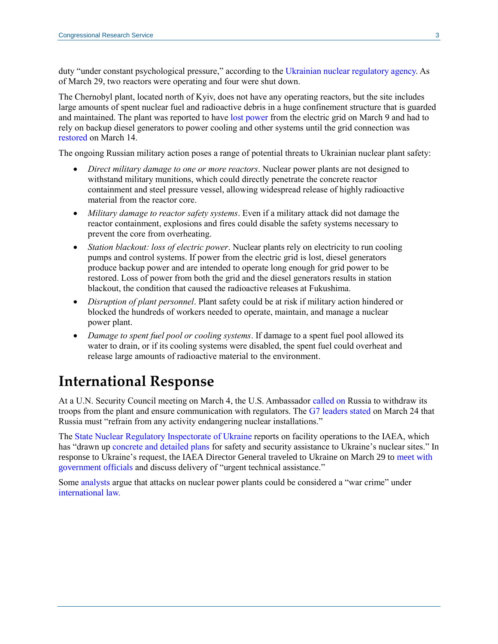duty "under constant psychological pressure," according to the [Ukrainian nuclear regulatory agency.](https://snriu.gov.ua/en/news/information-znpp-current-status-29032022) As of March 29, two reactors were operating and four were shut down.

The Chernobyl plant, located north of Kyiv, does not have any operating reactors, but the site includes large amounts of spent nuclear fuel and radioactive debris in a huge confinement structure that is guarded and maintained. The plant was reported to have [lost power](https://snriu.gov.ua/en/news/chnpp-facilities-situation-update-09-march-2022-1300) from the electric grid on March 9 and had to rely on backup diesel generators to power cooling and other systems until the grid connection was [restored](https://snriu.gov.ua/en/news/chornobyl-npp-facilities-current-situation-march-17-2022) on March 14.

The ongoing Russian military action poses a range of potential threats to Ukrainian nuclear plant safety:

- *Direct military damage to one or more reactors*. Nuclear power plants are not designed to withstand military munitions, which could directly penetrate the concrete reactor containment and steel pressure vessel, allowing widespread release of highly radioactive material from the reactor core.
- *Military damage to reactor safety systems*. Even if a military attack did not damage the reactor containment, explosions and fires could disable the safety systems necessary to prevent the core from overheating.
- *Station blackout: loss of electric power*. Nuclear plants rely on electricity to run cooling pumps and control systems. If power from the electric grid is lost, diesel generators produce backup power and are intended to operate long enough for grid power to be restored. Loss of power from both the grid and the diesel generators results in station blackout, the condition that caused the radioactive releases at Fukushima.
- *Disruption of plant personnel*. Plant safety could be at risk if military action hindered or blocked the hundreds of workers needed to operate, maintain, and manage a nuclear power plant.
- *Damage to spent fuel pool or cooling systems*. If damage to a spent fuel pool allowed its water to drain, or if its cooling systems were disabled, the spent fuel could overheat and release large amounts of radioactive material to the environment.

#### **International Response**

At a U.N. Security Council meeting on March 4, the U.S. Ambassador [called on](https://usun.usmission.gov/remarks-by-ambassador-linda-thomas-greenfield-at-a-un-security-council-emergency-meeting-on-ukraines-zaporizhzhia-nuclear-power-plant/) Russia to withdraw its troops from the plant and ensure communication with regulators. The [G7 leaders stated](https://www.consilium.europa.eu/fr/press/press-releases/2022/03/24/g7-leaders-statement-brussels-24-march-2022/) on March 24 that Russia must "refrain from any activity endangering nuclear installations."

The [State Nuclear Regulatory Inspectorate](https://snriu.gov.ua/en) of Ukraine reports on facility operations to the IAEA, which has "drawn up [concrete and detailed plans](https://www.iaea.org/newscenter/pressreleases/iaea-head-travels-to-ukraine-to-start-delivery-of-nuclear-safety-and-security-assistance) for safety and security assistance to Ukraine's nuclear sites." In response to Ukraine's request, the IAEA Director General traveled to Ukraine on March 29 to [meet with](https://www.iaea.org/newscenter/pressreleases/iaea-head-travels-to-ukraine-to-start-delivery-of-nuclear-safety-and-security-assistance)  [government officials](https://www.iaea.org/newscenter/pressreleases/iaea-head-travels-to-ukraine-to-start-delivery-of-nuclear-safety-and-security-assistance) and discuss delivery of "urgent technical assistance."

Some [analysts](https://oneearthfuture.org/press-mentions/laura-rockwood-interviewed-bbc-ukrainian-zaporizhzhia-nuclear-power-plant-takeover) argue that attacks on nuclear power plants could be considered a "war crime" under [international law.](https://thebulletin.org/2022/03/how-international-law-applies-to-attacks-on-nuclear-and-associated-facilities-in-ukraine/)